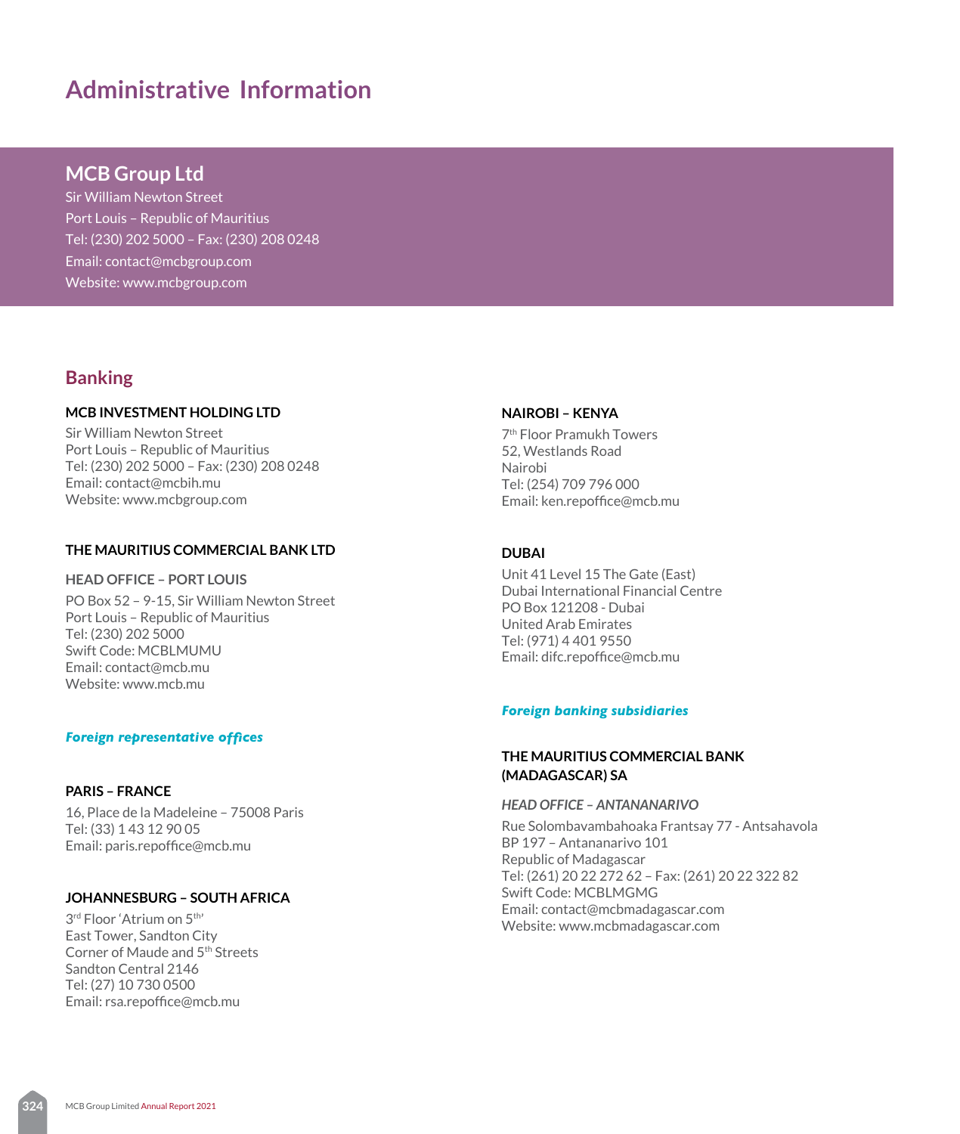# **Administrative Information**

# **MCB Group Ltd**

Sir William Newton Street Port Louis – Republic of Mauritius Tel: (230) 202 5000 – Fax: (230) 208 0248 Email: contact@mcbgroup.com Website: www.mcbgroup.com

# **Banking**

# **MCB INVESTMENT HOLDING LTD**

Sir William Newton Street Port Louis – Republic of Mauritius Tel: (230) 202 5000 – Fax: (230) 208 0248 Email: contact@mcbih.mu Website: www.mcbgroup.com

## **THE MAURITIUS COMMERCIAL BANK LTD**

# **HEAD OFFICE – PORT LOUIS**

PO Box 52 – 9-15, Sir William Newton Street Port Louis – Republic of Mauritius Tel: (230) 202 5000 Swift Code: MCBLMUMU Email: contact@mcb.mu Website: www.mcb.mu

## *Foreign representative offices*

#### **PARIS – FRANCE**

16, Place de la Madeleine – 75008 Paris Tel: (33) 1 43 12 90 05 Email: paris.repoffice@mcb.mu

# **JOHANNESBURG – SOUTH AFRICA**

3rd Floor 'Atrium on 5th' East Tower, Sandton City Corner of Maude and 5th Streets Sandton Central 2146 Tel: (27) 10 730 0500 Email: rsa.repoffice@mcb.mu

#### **NAIROBI – KENYA**

7th Floor Pramukh Towers 52, Westlands Road Nairobi Tel: (254) 709 796 000 Email: ken.repoffice@mcb.mu

## **DUBAI**

Unit 41 Level 15 The Gate (East) Dubai International Financial Centre PO Box 121208 - Dubai United Arab Emirates Tel: (971) 4 401 9550 Email: difc.repoffice@mcb.mu

#### *Foreign banking subsidiaries*

# **THE MAURITIUS COMMERCIAL BANK (MADAGASCAR) SA**

*HEAD OFFICE – ANTANANARIVO*

Rue Solombavambahoaka Frantsay 77 - Antsahavola BP 197 – Antananarivo 101 Republic of Madagascar Tel: (261) 20 22 272 62 – Fax: (261) 20 22 322 82 Swift Code: MCBLMGMG Email: contact@mcbmadagascar.com Website: www.mcbmadagascar.com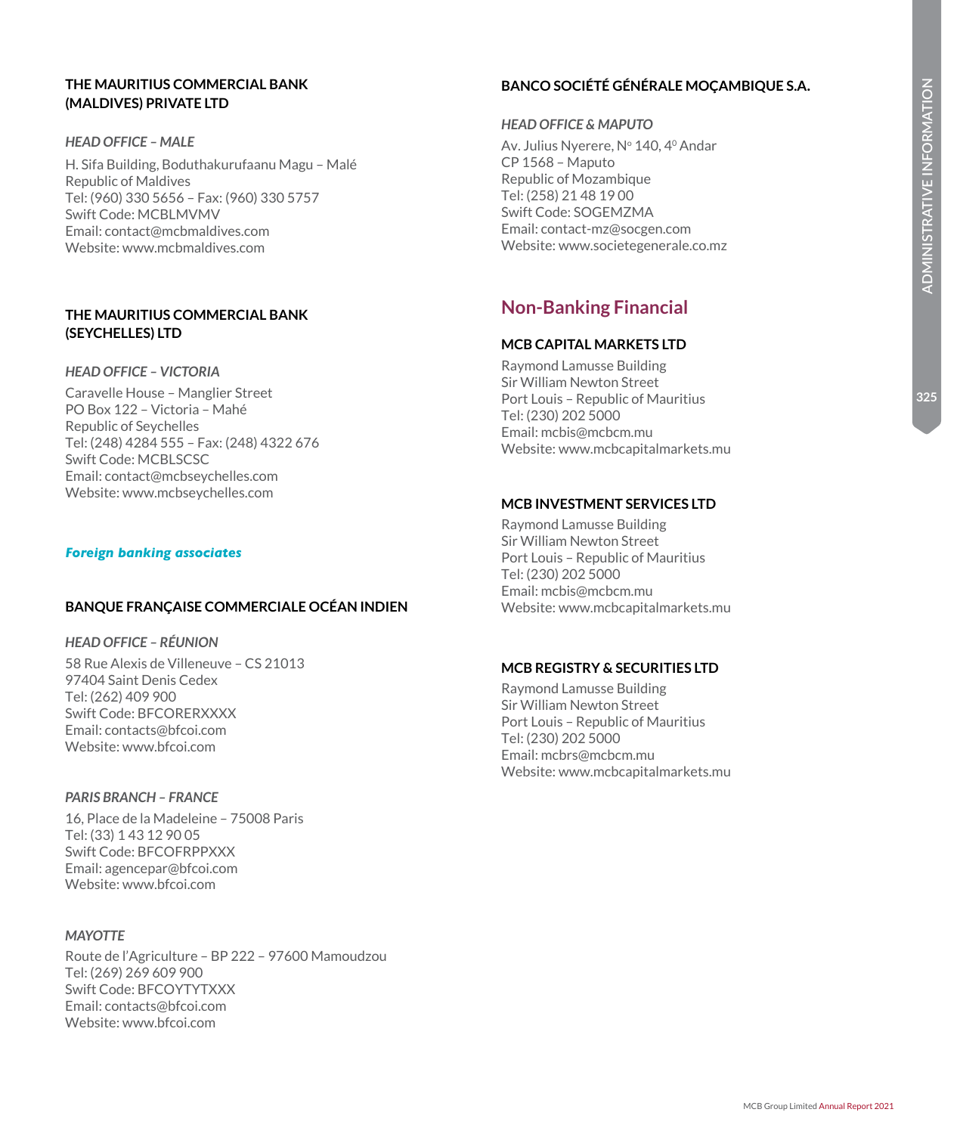325

# **THE MAURITIUS COMMERCIAL BANK (MALDIVES) PRIVATE LTD**

## *HEAD OFFICE – MALE*

H. Sifa Building, Boduthakurufaanu Magu – Malé Republic of Maldives Tel: (960) 330 5656 – Fax: (960) 330 5757 Swift Code: MCBLMVMV Email: contact@mcbmaldives.com Website: www.mcbmaldives.com

# **THE MAURITIUS COMMERCIAL BANK (SEYCHELLES) LTD**

## *HEAD OFFICE – VICTORIA*

Caravelle House – Manglier Street PO Box 122 – Victoria – Mahé Republic of Seychelles Tel: (248) 4284 555 – Fax: (248) 4322 676 Swift Code: MCBLSCSC Email: contact@mcbseychelles.com Website: www.mcbseychelles.com

# *Foreign banking associates*

# **BANQUE FRANÇAISE COMMERCIALE OCÉAN INDIEN**

# *HEAD OFFICE – RÉUNION*

58 Rue Alexis de Villeneuve – CS 21013 97404 Saint Denis Cedex Tel: (262) 409 900 Swift Code: BFCORERXXXX Email: contacts@bfcoi.com Website: www.bfcoi.com

## *PARIS BRANCH – FRANCE*

16, Place de la Madeleine – 75008 Paris Tel: (33) 1 43 12 90 05 Swift Code: BFCOFRPPXXX Email: agencepar@bfcoi.com Website: www.bfcoi.com

## *MAYOTTE*

Route de l'Agriculture – BP 222 – 97600 Mamoudzou Tel: (269) 269 609 900 Swift Code: BFCOYTYTXXX Email: contacts@bfcoi.com Website: www.bfcoi.com

# **BANCO SOCIÉTÉ GÉNÉRALE MOÇAMBIQUE S.A.**

# *HEAD OFFICE & MAPUTO*

Av. Julius Nyerere, Nº 140, 4º Andar CP 1568 – Maputo Republic of Mozambique Tel: (258) 21 48 19 00 Swift Code: SOGEMZMA Email: contact-mz@socgen.com Website: www.societegenerale.co.mz

# **Non-Banking Financial**

# **MCB CAPITAL MARKETS LTD**

Raymond Lamusse Building Sir William Newton Street Port Louis – Republic of Mauritius Tel: (230) 202 5000 Email: mcbis@mcbcm.mu Website: www.mcbcapitalmarkets.mu

# **MCB INVESTMENT SERVICES LTD**

Raymond Lamusse Building Sir William Newton Street Port Louis – Republic of Mauritius Tel: (230) 202 5000 Email: mcbis@mcbcm.mu Website: www.mcbcapitalmarkets.mu

# **MCB REGISTRY & SECURITIES LTD**

Raymond Lamusse Building Sir William Newton Street Port Louis – Republic of Mauritius Tel: (230) 202 5000 Email: mcbrs@mcbcm.mu Website: www.mcbcapitalmarkets.mu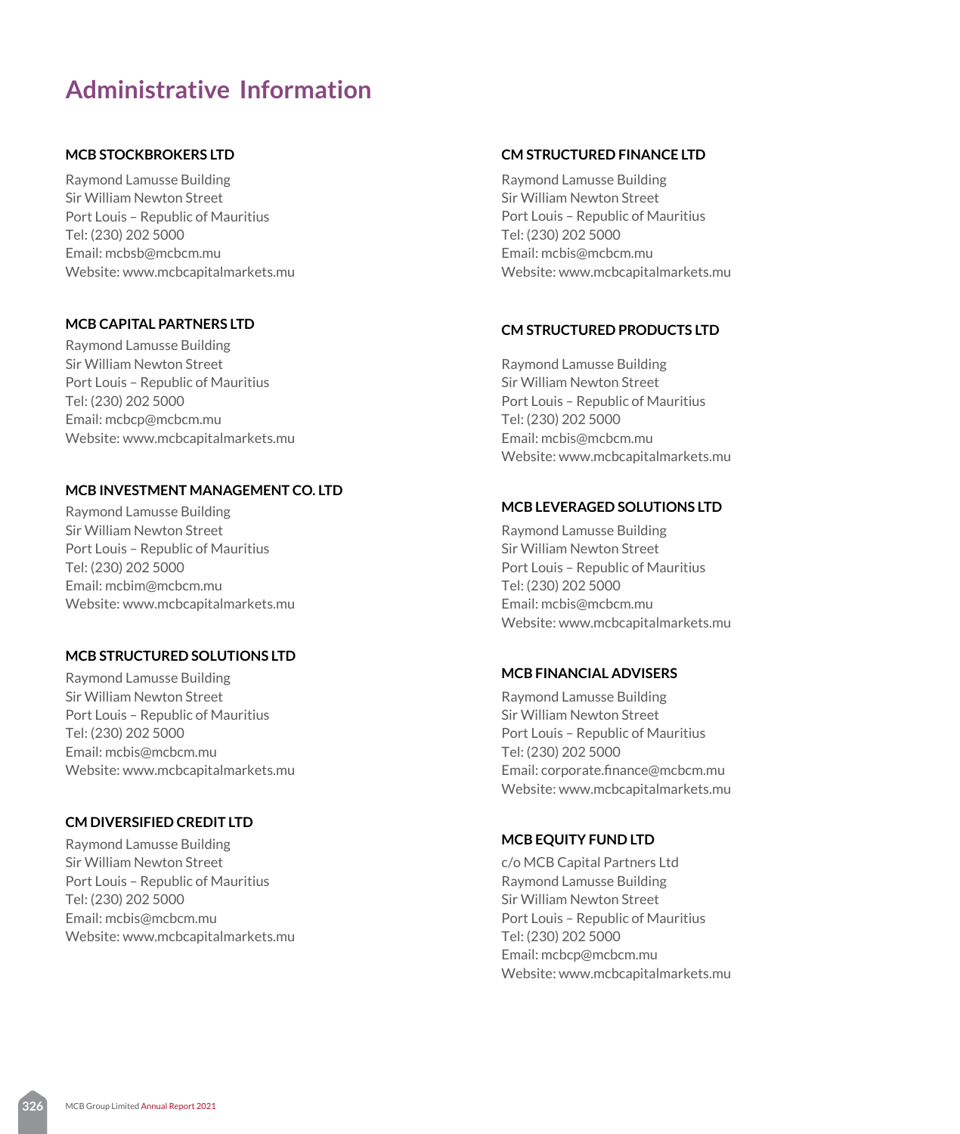# **Administrative Information**

# **MCB STOCKBROKERS LTD**

Raymond Lamusse Building Sir William Newton Street Port Louis – Republic of Mauritius Tel: (230) 202 5000 Email: mcbsb@mcbcm.mu Website: www.mcbcapitalmarkets.mu

# **MCB CAPITAL PARTNERS LTD**

Raymond Lamusse Building Sir William Newton Street Port Louis – Republic of Mauritius Tel: (230) 202 5000 Email: mcbcp@mcbcm.mu Website: www.mcbcapitalmarkets.mu

# **MCB INVESTMENT MANAGEMENT CO. LTD**

Raymond Lamusse Building Sir William Newton Street Port Louis – Republic of Mauritius Tel: (230) 202 5000 Email: mcbim@mcbcm.mu Website: www.mcbcapitalmarkets.mu

# **MCB STRUCTURED SOLUTIONS LTD**

Raymond Lamusse Building Sir William Newton Street Port Louis – Republic of Mauritius Tel: (230) 202 5000 Email: mcbis@mcbcm.mu Website: www.mcbcapitalmarkets.mu

# **CM DIVERSIFIED CREDIT LTD**

Raymond Lamusse Building Sir William Newton Street Port Louis – Republic of Mauritius Tel: (230) 202 5000 Email: mcbis@mcbcm.mu Website: www.mcbcapitalmarkets.mu

# **CM STRUCTURED FINANCE LTD**

Raymond Lamusse Building Sir William Newton Street Port Louis – Republic of Mauritius Tel: (230) 202 5000 Email: mcbis@mcbcm.mu Website: www.mcbcapitalmarkets.mu

# **CM STRUCTURED PRODUCTS LTD**

Raymond Lamusse Building Sir William Newton Street Port Louis – Republic of Mauritius Tel: (230) 202 5000 Email: mcbis@mcbcm.mu Website: www.mcbcapitalmarkets.mu

# **MCB LEVERAGED SOLUTIONS LTD**

Raymond Lamusse Building Sir William Newton Street Port Louis – Republic of Mauritius Tel: (230) 202 5000 Email: mcbis@mcbcm.mu Website: www.mcbcapitalmarkets.mu

## **MCB FINANCIAL ADVISERS**

Raymond Lamusse Building Sir William Newton Street Port Louis – Republic of Mauritius Tel: (230) 202 5000 Email: corporate.finance@mcbcm.mu Website: www.mcbcapitalmarkets.mu

## **MCB EQUITY FUND LTD**

c/o MCB Capital Partners Ltd Raymond Lamusse Building Sir William Newton Street Port Louis – Republic of Mauritius Tel: (230) 202 5000 Email: mcbcp@mcbcm.mu Website: www.mcbcapitalmarkets.mu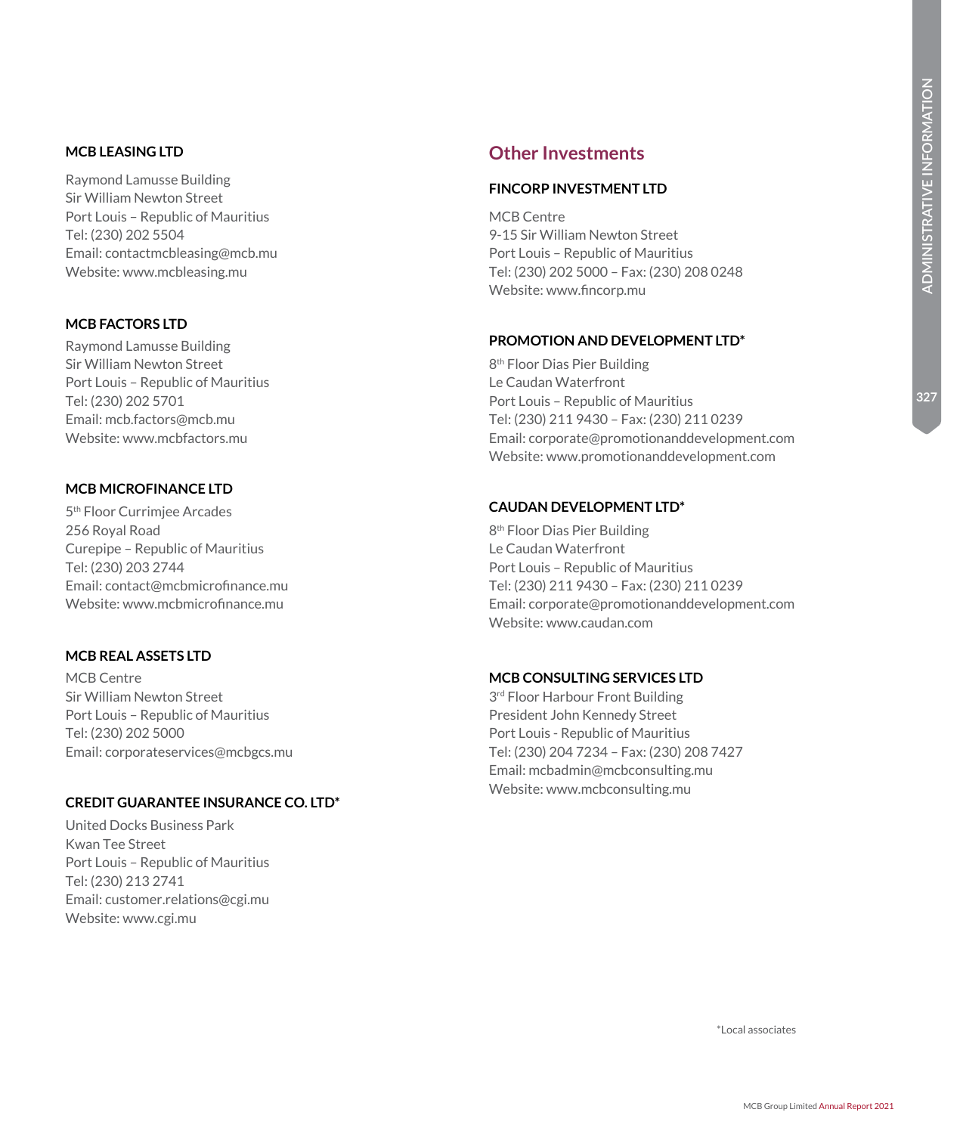327

## **MCB LEASING LTD**

Raymond Lamusse Building Sir William Newton Street Port Louis – Republic of Mauritius Tel: (230) 202 5504 Email: contactmcbleasing@mcb.mu Website: www.mcbleasing.mu

# **MCB FACTORS LTD**

Raymond Lamusse Building Sir William Newton Street Port Louis – Republic of Mauritius Tel: (230) 202 5701 Email: mcb.factors@mcb.mu Website: www.mcbfactors.mu

# **MCB MICROFINANCE LTD**

5th Floor Currimjee Arcades 256 Royal Road Curepipe – Republic of Mauritius Tel: (230) 203 2744 Email: contact@mcbmicrofinance.mu Website: www.mcbmicrofinance.mu

# **MCB REAL ASSETS LTD**

MCB Centre Sir William Newton Street Port Louis – Republic of Mauritius Tel: (230) 202 5000 Email: corporateservices@mcbgcs.mu

# **CREDIT GUARANTEE INSURANCE CO. LTD\***

United Docks Business Park Kwan Tee Street Port Louis – Republic of Mauritius Tel: (230) 213 2741 Email: customer.relations@cgi.mu Website: www.cgi.mu

# **Other Investments**

# **FINCORP INVESTMENT LTD**

MCB Centre 9-15 Sir William Newton Street Port Louis – Republic of Mauritius Tel: (230) 202 5000 – Fax: (230) 208 0248 Website: www.fincorp.mu

#### **PROMOTION AND DEVELOPMENT LTD\***

8th Floor Dias Pier Building Le Caudan Waterfront Port Louis – Republic of Mauritius Tel: (230) 211 9430 – Fax: (230) 211 0239 Email: corporate@promotionanddevelopment.com Website: www.promotionanddevelopment.com

#### **CAUDAN DEVELOPMENT LTD\***

8th Floor Dias Pier Building Le Caudan Waterfront Port Louis – Republic of Mauritius Tel: (230) 211 9430 – Fax: (230) 211 0239 Email: corporate@promotionanddevelopment.com Website: www.caudan.com

# **MCB CONSULTING SERVICES LTD**

3<sup>rd</sup> Floor Harbour Front Building President John Kennedy Street Port Louis - Republic of Mauritius Tel: (230) 204 7234 – Fax: (230) 208 7427 Email: mcbadmin@mcbconsulting.mu Website: www.mcbconsulting.mu

\*Local associates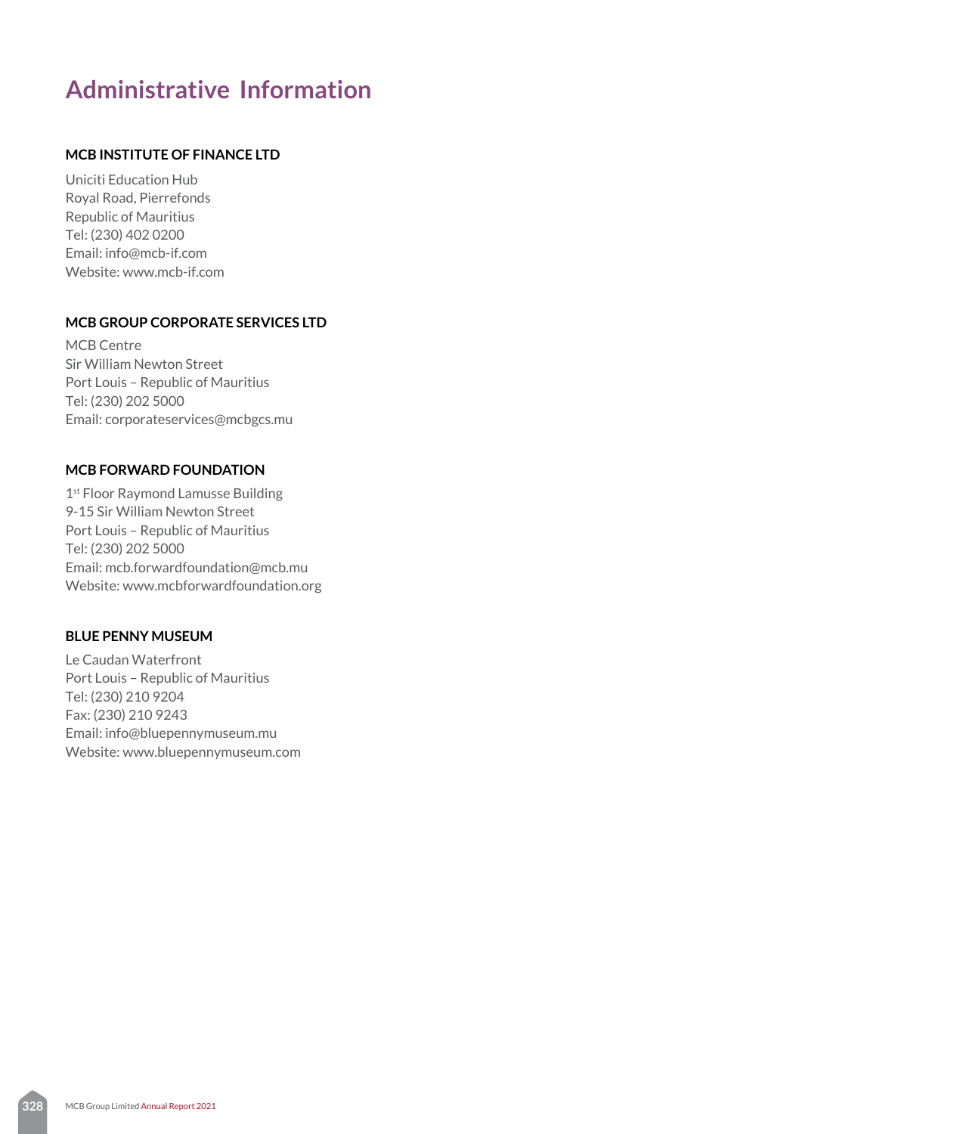# **Administrative Information**

# **MCB INSTITUTE OF FINANCE LTD**

Uniciti Education Hub Royal Road, Pierrefonds Republic of Mauritius Tel: (230) 402 0200 Email: info@mcb-if.com Website: www.mcb-if.com

# **MCB GROUP CORPORATE SERVICES LTD**

MCB Centre Sir William Newton Street Port Louis – Republic of Mauritius Tel: (230) 202 5000 Email: corporateservices@mcbgcs.mu

# **MCB FORWARD FOUNDATION**

1<sup>st</sup> Floor Raymond Lamusse Building 9-15 Sir William Newton Street Port Louis – Republic of Mauritius Tel: (230) 202 5000 Email: mcb.forwardfoundation@mcb.mu Website: www.mcbforwardfoundation.org

# **BLUE PENNY MUSEUM**

Le Caudan Waterfront Port Louis – Republic of Mauritius Tel: (230) 210 9204 Fax: (230) 210 9243 Email: info@bluepennymuseum.mu Website: www.bluepennymuseum.com